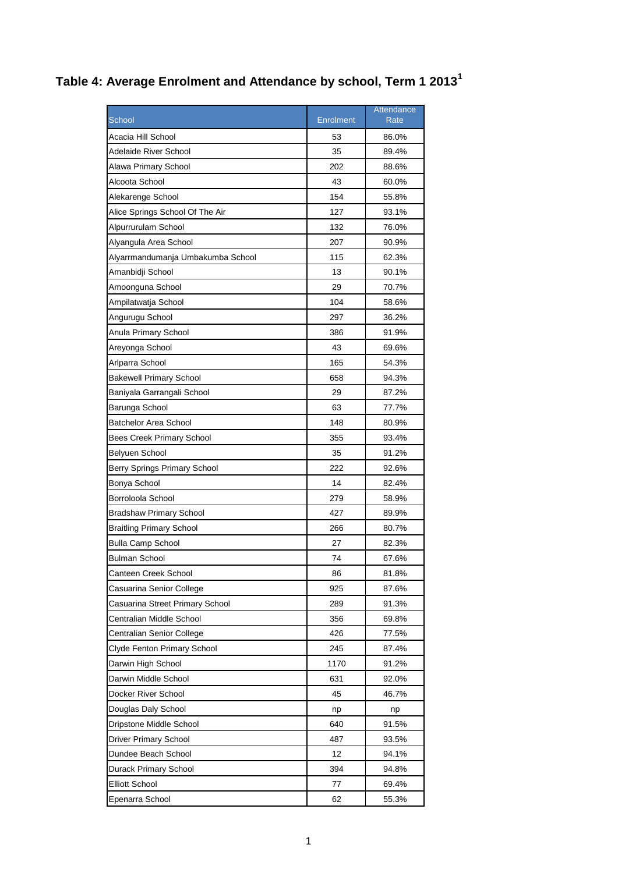## **Table 4: Average Enrolment and Attendance by school, Term 1 2013<sup>1</sup>**

|                                   |           | Attendance |
|-----------------------------------|-----------|------------|
| School                            | Enrolment | Rate       |
| Acacia Hill School                | 53        | 86.0%      |
| Adelaide River School             | 35        | 89.4%      |
| Alawa Primary School              | 202       | 88.6%      |
| Alcoota School                    | 43        | 60.0%      |
| Alekarenge School                 | 154       | 55.8%      |
| Alice Springs School Of The Air   | 127       | 93.1%      |
| Alpurrurulam School               | 132       | 76.0%      |
| Alyangula Area School             | 207       | 90.9%      |
| Alyarrmandumanja Umbakumba School | 115       | 62.3%      |
| Amanbidji School                  | 13        | 90.1%      |
| Amoonguna School                  | 29        | 70.7%      |
| Ampilatwatja School               | 104       | 58.6%      |
| Angurugu School                   | 297       | 36.2%      |
| Anula Primary School              | 386       | 91.9%      |
| Areyonga School                   | 43        | 69.6%      |
| Arlparra School                   | 165       | 54.3%      |
| <b>Bakewell Primary School</b>    | 658       | 94.3%      |
| Baniyala Garrangali School        | 29        | 87.2%      |
| Barunga School                    | 63        | 77.7%      |
| <b>Batchelor Area School</b>      | 148       | 80.9%      |
| <b>Bees Creek Primary School</b>  | 355       | 93.4%      |
| Belyuen School                    | 35        | 91.2%      |
| Berry Springs Primary School      | 222       | 92.6%      |
| Bonya School                      | 14        | 82.4%      |
| Borroloola School                 | 279       | 58.9%      |
| <b>Bradshaw Primary School</b>    | 427       | 89.9%      |
| <b>Braitling Primary School</b>   | 266       | 80.7%      |
| <b>Bulla Camp School</b>          | 27        | 82.3%      |
| Bulman School                     | 74        | 67.6%      |
| Canteen Creek School              | 86        | 81.8%      |
| Casuarina Senior College          | 925       | 87.6%      |
| Casuarina Street Primary School   | 289       | 91.3%      |
| Centralian Middle School          | 356       | 69.8%      |
| Centralian Senior College         | 426       | 77.5%      |
| Clyde Fenton Primary School       | 245       | 87.4%      |
| Darwin High School                | 1170      | 91.2%      |
| Darwin Middle School              | 631       | 92.0%      |
| Docker River School               | 45        | 46.7%      |
| Douglas Daly School               | np        | np         |
| Dripstone Middle School           | 640       | 91.5%      |
| Driver Primary School             | 487       | 93.5%      |
| Dundee Beach School               | 12        | 94.1%      |
| Durack Primary School             | 394       | 94.8%      |
| <b>Elliott School</b>             | 77        | 69.4%      |
| Epenarra School                   | 62        | 55.3%      |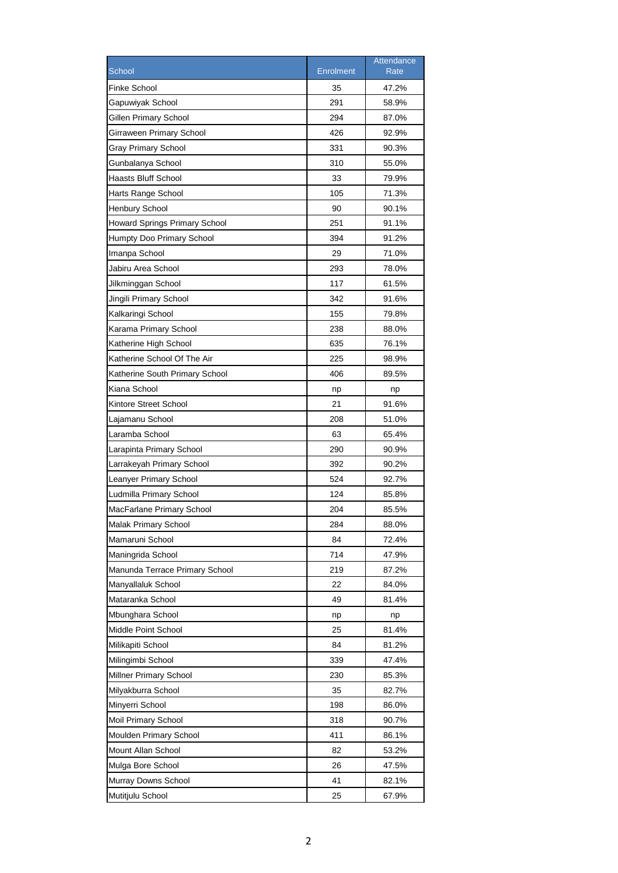| <b>Finke School</b><br>47.2%<br>35<br>Gapuwiyak School<br>291<br>58.9%<br>Gillen Primary School<br>294<br>87.0%<br>426<br>92.9%<br>Girraween Primary School<br>331<br><b>Gray Primary School</b><br>90.3%<br>310<br>Gunbalanya School<br>55.0%<br>33<br>Haasts Bluff School<br>79.9%<br>105<br>71.3%<br>Harts Range School<br><b>Henbury School</b><br>90<br>90.1%<br><b>Howard Springs Primary School</b><br>251<br>91.1%<br>91.2%<br>Humpty Doo Primary School<br>394<br>Imanpa School<br>29<br>71.0%<br>Jabiru Area School<br>293<br>78.0%<br>117<br>61.5%<br>Jilkminggan School<br>Jingili Primary School<br>342<br>91.6%<br>Kalkaringi School<br>155<br>79.8%<br>238<br>Karama Primary School<br>88.0%<br>635<br>76.1%<br>Katherine High School<br>Katherine School Of The Air<br>225<br>98.9%<br>Katherine South Primary School<br>406<br>89.5%<br>Kiana School<br>np<br>np<br>Kintore Street School<br>21<br>91.6%<br>208<br>51.0%<br>Lajamanu School<br>Laramba School<br>63<br>65.4%<br>Larapinta Primary School<br>290<br>90.9%<br>392<br>Larrakeyah Primary School<br>90.2%<br>524<br>Leanyer Primary School<br>92.7%<br>124<br>Ludmilla Primary School<br>85.8%<br>MacFarlane Primary School<br>204<br>85.5%<br>Malak Primary School<br>284<br>88.0%<br>Mamaruni School<br>84<br>72.4%<br>714<br>Maningrida School<br>47.9%<br>Manunda Terrace Primary School<br>219<br>87.2%<br>Manyallaluk School<br>22<br>84.0%<br>49<br>Mataranka School<br>81.4%<br>Mbunghara School<br>np<br>np<br>25<br>Middle Point School<br>81.4%<br>Milikapiti School<br>84<br>81.2%<br>Milingimbi School<br>339<br>47.4%<br>Millner Primary School<br>230<br>85.3%<br>Milyakburra School<br>35<br>82.7%<br>198<br>Minyerri School<br>86.0%<br>Moil Primary School<br>318<br>90.7%<br>Moulden Primary School<br>411<br>86.1%<br>82<br>Mount Allan School<br>53.2%<br>Mulga Bore School<br>26<br>47.5%<br>Murray Downs School<br>41<br>82.1% |                  |                  | Attendance |
|------------------------------------------------------------------------------------------------------------------------------------------------------------------------------------------------------------------------------------------------------------------------------------------------------------------------------------------------------------------------------------------------------------------------------------------------------------------------------------------------------------------------------------------------------------------------------------------------------------------------------------------------------------------------------------------------------------------------------------------------------------------------------------------------------------------------------------------------------------------------------------------------------------------------------------------------------------------------------------------------------------------------------------------------------------------------------------------------------------------------------------------------------------------------------------------------------------------------------------------------------------------------------------------------------------------------------------------------------------------------------------------------------------------------------------------------------------------------------------------------------------------------------------------------------------------------------------------------------------------------------------------------------------------------------------------------------------------------------------------------------------------------------------------------------------------------------------------------------------------------------------------------------------------------------------|------------------|------------------|------------|
|                                                                                                                                                                                                                                                                                                                                                                                                                                                                                                                                                                                                                                                                                                                                                                                                                                                                                                                                                                                                                                                                                                                                                                                                                                                                                                                                                                                                                                                                                                                                                                                                                                                                                                                                                                                                                                                                                                                                    | School           | <b>Enrolment</b> | Rate       |
|                                                                                                                                                                                                                                                                                                                                                                                                                                                                                                                                                                                                                                                                                                                                                                                                                                                                                                                                                                                                                                                                                                                                                                                                                                                                                                                                                                                                                                                                                                                                                                                                                                                                                                                                                                                                                                                                                                                                    |                  |                  |            |
|                                                                                                                                                                                                                                                                                                                                                                                                                                                                                                                                                                                                                                                                                                                                                                                                                                                                                                                                                                                                                                                                                                                                                                                                                                                                                                                                                                                                                                                                                                                                                                                                                                                                                                                                                                                                                                                                                                                                    |                  |                  |            |
|                                                                                                                                                                                                                                                                                                                                                                                                                                                                                                                                                                                                                                                                                                                                                                                                                                                                                                                                                                                                                                                                                                                                                                                                                                                                                                                                                                                                                                                                                                                                                                                                                                                                                                                                                                                                                                                                                                                                    |                  |                  |            |
|                                                                                                                                                                                                                                                                                                                                                                                                                                                                                                                                                                                                                                                                                                                                                                                                                                                                                                                                                                                                                                                                                                                                                                                                                                                                                                                                                                                                                                                                                                                                                                                                                                                                                                                                                                                                                                                                                                                                    |                  |                  |            |
|                                                                                                                                                                                                                                                                                                                                                                                                                                                                                                                                                                                                                                                                                                                                                                                                                                                                                                                                                                                                                                                                                                                                                                                                                                                                                                                                                                                                                                                                                                                                                                                                                                                                                                                                                                                                                                                                                                                                    |                  |                  |            |
|                                                                                                                                                                                                                                                                                                                                                                                                                                                                                                                                                                                                                                                                                                                                                                                                                                                                                                                                                                                                                                                                                                                                                                                                                                                                                                                                                                                                                                                                                                                                                                                                                                                                                                                                                                                                                                                                                                                                    |                  |                  |            |
|                                                                                                                                                                                                                                                                                                                                                                                                                                                                                                                                                                                                                                                                                                                                                                                                                                                                                                                                                                                                                                                                                                                                                                                                                                                                                                                                                                                                                                                                                                                                                                                                                                                                                                                                                                                                                                                                                                                                    |                  |                  |            |
|                                                                                                                                                                                                                                                                                                                                                                                                                                                                                                                                                                                                                                                                                                                                                                                                                                                                                                                                                                                                                                                                                                                                                                                                                                                                                                                                                                                                                                                                                                                                                                                                                                                                                                                                                                                                                                                                                                                                    |                  |                  |            |
|                                                                                                                                                                                                                                                                                                                                                                                                                                                                                                                                                                                                                                                                                                                                                                                                                                                                                                                                                                                                                                                                                                                                                                                                                                                                                                                                                                                                                                                                                                                                                                                                                                                                                                                                                                                                                                                                                                                                    |                  |                  |            |
|                                                                                                                                                                                                                                                                                                                                                                                                                                                                                                                                                                                                                                                                                                                                                                                                                                                                                                                                                                                                                                                                                                                                                                                                                                                                                                                                                                                                                                                                                                                                                                                                                                                                                                                                                                                                                                                                                                                                    |                  |                  |            |
|                                                                                                                                                                                                                                                                                                                                                                                                                                                                                                                                                                                                                                                                                                                                                                                                                                                                                                                                                                                                                                                                                                                                                                                                                                                                                                                                                                                                                                                                                                                                                                                                                                                                                                                                                                                                                                                                                                                                    |                  |                  |            |
|                                                                                                                                                                                                                                                                                                                                                                                                                                                                                                                                                                                                                                                                                                                                                                                                                                                                                                                                                                                                                                                                                                                                                                                                                                                                                                                                                                                                                                                                                                                                                                                                                                                                                                                                                                                                                                                                                                                                    |                  |                  |            |
|                                                                                                                                                                                                                                                                                                                                                                                                                                                                                                                                                                                                                                                                                                                                                                                                                                                                                                                                                                                                                                                                                                                                                                                                                                                                                                                                                                                                                                                                                                                                                                                                                                                                                                                                                                                                                                                                                                                                    |                  |                  |            |
|                                                                                                                                                                                                                                                                                                                                                                                                                                                                                                                                                                                                                                                                                                                                                                                                                                                                                                                                                                                                                                                                                                                                                                                                                                                                                                                                                                                                                                                                                                                                                                                                                                                                                                                                                                                                                                                                                                                                    |                  |                  |            |
|                                                                                                                                                                                                                                                                                                                                                                                                                                                                                                                                                                                                                                                                                                                                                                                                                                                                                                                                                                                                                                                                                                                                                                                                                                                                                                                                                                                                                                                                                                                                                                                                                                                                                                                                                                                                                                                                                                                                    |                  |                  |            |
|                                                                                                                                                                                                                                                                                                                                                                                                                                                                                                                                                                                                                                                                                                                                                                                                                                                                                                                                                                                                                                                                                                                                                                                                                                                                                                                                                                                                                                                                                                                                                                                                                                                                                                                                                                                                                                                                                                                                    |                  |                  |            |
|                                                                                                                                                                                                                                                                                                                                                                                                                                                                                                                                                                                                                                                                                                                                                                                                                                                                                                                                                                                                                                                                                                                                                                                                                                                                                                                                                                                                                                                                                                                                                                                                                                                                                                                                                                                                                                                                                                                                    |                  |                  |            |
|                                                                                                                                                                                                                                                                                                                                                                                                                                                                                                                                                                                                                                                                                                                                                                                                                                                                                                                                                                                                                                                                                                                                                                                                                                                                                                                                                                                                                                                                                                                                                                                                                                                                                                                                                                                                                                                                                                                                    |                  |                  |            |
|                                                                                                                                                                                                                                                                                                                                                                                                                                                                                                                                                                                                                                                                                                                                                                                                                                                                                                                                                                                                                                                                                                                                                                                                                                                                                                                                                                                                                                                                                                                                                                                                                                                                                                                                                                                                                                                                                                                                    |                  |                  |            |
|                                                                                                                                                                                                                                                                                                                                                                                                                                                                                                                                                                                                                                                                                                                                                                                                                                                                                                                                                                                                                                                                                                                                                                                                                                                                                                                                                                                                                                                                                                                                                                                                                                                                                                                                                                                                                                                                                                                                    |                  |                  |            |
|                                                                                                                                                                                                                                                                                                                                                                                                                                                                                                                                                                                                                                                                                                                                                                                                                                                                                                                                                                                                                                                                                                                                                                                                                                                                                                                                                                                                                                                                                                                                                                                                                                                                                                                                                                                                                                                                                                                                    |                  |                  |            |
|                                                                                                                                                                                                                                                                                                                                                                                                                                                                                                                                                                                                                                                                                                                                                                                                                                                                                                                                                                                                                                                                                                                                                                                                                                                                                                                                                                                                                                                                                                                                                                                                                                                                                                                                                                                                                                                                                                                                    |                  |                  |            |
|                                                                                                                                                                                                                                                                                                                                                                                                                                                                                                                                                                                                                                                                                                                                                                                                                                                                                                                                                                                                                                                                                                                                                                                                                                                                                                                                                                                                                                                                                                                                                                                                                                                                                                                                                                                                                                                                                                                                    |                  |                  |            |
|                                                                                                                                                                                                                                                                                                                                                                                                                                                                                                                                                                                                                                                                                                                                                                                                                                                                                                                                                                                                                                                                                                                                                                                                                                                                                                                                                                                                                                                                                                                                                                                                                                                                                                                                                                                                                                                                                                                                    |                  |                  |            |
|                                                                                                                                                                                                                                                                                                                                                                                                                                                                                                                                                                                                                                                                                                                                                                                                                                                                                                                                                                                                                                                                                                                                                                                                                                                                                                                                                                                                                                                                                                                                                                                                                                                                                                                                                                                                                                                                                                                                    |                  |                  |            |
|                                                                                                                                                                                                                                                                                                                                                                                                                                                                                                                                                                                                                                                                                                                                                                                                                                                                                                                                                                                                                                                                                                                                                                                                                                                                                                                                                                                                                                                                                                                                                                                                                                                                                                                                                                                                                                                                                                                                    |                  |                  |            |
|                                                                                                                                                                                                                                                                                                                                                                                                                                                                                                                                                                                                                                                                                                                                                                                                                                                                                                                                                                                                                                                                                                                                                                                                                                                                                                                                                                                                                                                                                                                                                                                                                                                                                                                                                                                                                                                                                                                                    |                  |                  |            |
|                                                                                                                                                                                                                                                                                                                                                                                                                                                                                                                                                                                                                                                                                                                                                                                                                                                                                                                                                                                                                                                                                                                                                                                                                                                                                                                                                                                                                                                                                                                                                                                                                                                                                                                                                                                                                                                                                                                                    |                  |                  |            |
|                                                                                                                                                                                                                                                                                                                                                                                                                                                                                                                                                                                                                                                                                                                                                                                                                                                                                                                                                                                                                                                                                                                                                                                                                                                                                                                                                                                                                                                                                                                                                                                                                                                                                                                                                                                                                                                                                                                                    |                  |                  |            |
|                                                                                                                                                                                                                                                                                                                                                                                                                                                                                                                                                                                                                                                                                                                                                                                                                                                                                                                                                                                                                                                                                                                                                                                                                                                                                                                                                                                                                                                                                                                                                                                                                                                                                                                                                                                                                                                                                                                                    |                  |                  |            |
|                                                                                                                                                                                                                                                                                                                                                                                                                                                                                                                                                                                                                                                                                                                                                                                                                                                                                                                                                                                                                                                                                                                                                                                                                                                                                                                                                                                                                                                                                                                                                                                                                                                                                                                                                                                                                                                                                                                                    |                  |                  |            |
|                                                                                                                                                                                                                                                                                                                                                                                                                                                                                                                                                                                                                                                                                                                                                                                                                                                                                                                                                                                                                                                                                                                                                                                                                                                                                                                                                                                                                                                                                                                                                                                                                                                                                                                                                                                                                                                                                                                                    |                  |                  |            |
|                                                                                                                                                                                                                                                                                                                                                                                                                                                                                                                                                                                                                                                                                                                                                                                                                                                                                                                                                                                                                                                                                                                                                                                                                                                                                                                                                                                                                                                                                                                                                                                                                                                                                                                                                                                                                                                                                                                                    |                  |                  |            |
|                                                                                                                                                                                                                                                                                                                                                                                                                                                                                                                                                                                                                                                                                                                                                                                                                                                                                                                                                                                                                                                                                                                                                                                                                                                                                                                                                                                                                                                                                                                                                                                                                                                                                                                                                                                                                                                                                                                                    |                  |                  |            |
|                                                                                                                                                                                                                                                                                                                                                                                                                                                                                                                                                                                                                                                                                                                                                                                                                                                                                                                                                                                                                                                                                                                                                                                                                                                                                                                                                                                                                                                                                                                                                                                                                                                                                                                                                                                                                                                                                                                                    |                  |                  |            |
|                                                                                                                                                                                                                                                                                                                                                                                                                                                                                                                                                                                                                                                                                                                                                                                                                                                                                                                                                                                                                                                                                                                                                                                                                                                                                                                                                                                                                                                                                                                                                                                                                                                                                                                                                                                                                                                                                                                                    |                  |                  |            |
|                                                                                                                                                                                                                                                                                                                                                                                                                                                                                                                                                                                                                                                                                                                                                                                                                                                                                                                                                                                                                                                                                                                                                                                                                                                                                                                                                                                                                                                                                                                                                                                                                                                                                                                                                                                                                                                                                                                                    |                  |                  |            |
|                                                                                                                                                                                                                                                                                                                                                                                                                                                                                                                                                                                                                                                                                                                                                                                                                                                                                                                                                                                                                                                                                                                                                                                                                                                                                                                                                                                                                                                                                                                                                                                                                                                                                                                                                                                                                                                                                                                                    |                  |                  |            |
|                                                                                                                                                                                                                                                                                                                                                                                                                                                                                                                                                                                                                                                                                                                                                                                                                                                                                                                                                                                                                                                                                                                                                                                                                                                                                                                                                                                                                                                                                                                                                                                                                                                                                                                                                                                                                                                                                                                                    |                  |                  |            |
|                                                                                                                                                                                                                                                                                                                                                                                                                                                                                                                                                                                                                                                                                                                                                                                                                                                                                                                                                                                                                                                                                                                                                                                                                                                                                                                                                                                                                                                                                                                                                                                                                                                                                                                                                                                                                                                                                                                                    |                  |                  |            |
|                                                                                                                                                                                                                                                                                                                                                                                                                                                                                                                                                                                                                                                                                                                                                                                                                                                                                                                                                                                                                                                                                                                                                                                                                                                                                                                                                                                                                                                                                                                                                                                                                                                                                                                                                                                                                                                                                                                                    |                  |                  |            |
|                                                                                                                                                                                                                                                                                                                                                                                                                                                                                                                                                                                                                                                                                                                                                                                                                                                                                                                                                                                                                                                                                                                                                                                                                                                                                                                                                                                                                                                                                                                                                                                                                                                                                                                                                                                                                                                                                                                                    |                  |                  |            |
|                                                                                                                                                                                                                                                                                                                                                                                                                                                                                                                                                                                                                                                                                                                                                                                                                                                                                                                                                                                                                                                                                                                                                                                                                                                                                                                                                                                                                                                                                                                                                                                                                                                                                                                                                                                                                                                                                                                                    |                  |                  |            |
|                                                                                                                                                                                                                                                                                                                                                                                                                                                                                                                                                                                                                                                                                                                                                                                                                                                                                                                                                                                                                                                                                                                                                                                                                                                                                                                                                                                                                                                                                                                                                                                                                                                                                                                                                                                                                                                                                                                                    |                  |                  |            |
|                                                                                                                                                                                                                                                                                                                                                                                                                                                                                                                                                                                                                                                                                                                                                                                                                                                                                                                                                                                                                                                                                                                                                                                                                                                                                                                                                                                                                                                                                                                                                                                                                                                                                                                                                                                                                                                                                                                                    |                  |                  |            |
|                                                                                                                                                                                                                                                                                                                                                                                                                                                                                                                                                                                                                                                                                                                                                                                                                                                                                                                                                                                                                                                                                                                                                                                                                                                                                                                                                                                                                                                                                                                                                                                                                                                                                                                                                                                                                                                                                                                                    |                  |                  |            |
|                                                                                                                                                                                                                                                                                                                                                                                                                                                                                                                                                                                                                                                                                                                                                                                                                                                                                                                                                                                                                                                                                                                                                                                                                                                                                                                                                                                                                                                                                                                                                                                                                                                                                                                                                                                                                                                                                                                                    |                  |                  |            |
|                                                                                                                                                                                                                                                                                                                                                                                                                                                                                                                                                                                                                                                                                                                                                                                                                                                                                                                                                                                                                                                                                                                                                                                                                                                                                                                                                                                                                                                                                                                                                                                                                                                                                                                                                                                                                                                                                                                                    | Mutitjulu School | 25               | 67.9%      |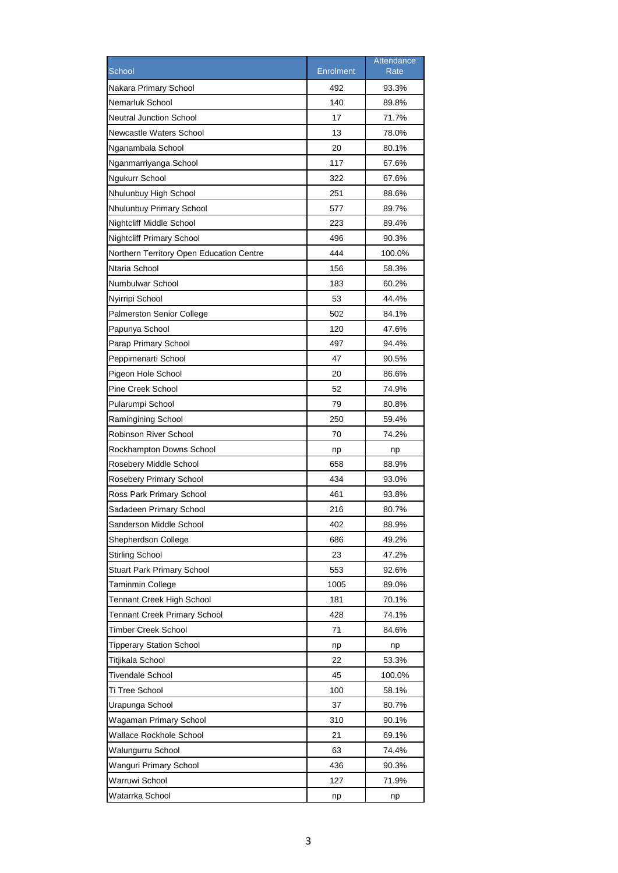|                                          |                  | Attendance |
|------------------------------------------|------------------|------------|
| School                                   | <b>Enrolment</b> | Rate       |
| Nakara Primary School                    | 492              | 93.3%      |
| Nemarluk School                          | 140              | 89.8%      |
| <b>Neutral Junction School</b>           | 17               | 71.7%      |
| Newcastle Waters School                  | 13               | 78.0%      |
| Nganambala School                        | 20               | 80.1%      |
| Nganmarriyanga School                    | 117              | 67.6%      |
| Ngukurr School                           | 322              | 67.6%      |
| Nhulunbuy High School                    | 251              | 88.6%      |
| Nhulunbuy Primary School                 | 577              | 89.7%      |
| Nightcliff Middle School                 | 223              | 89.4%      |
| <b>Nightcliff Primary School</b>         | 496              | 90.3%      |
| Northern Territory Open Education Centre | 444              | 100.0%     |
| Ntaria School                            | 156              | 58.3%      |
| Numbulwar School                         | 183              | 60.2%      |
| Nyirripi School                          | 53               | 44.4%      |
| <b>Palmerston Senior College</b>         | 502              | 84.1%      |
| Papunya School                           | 120              | 47.6%      |
| Parap Primary School                     | 497              | 94.4%      |
| Peppimenarti School                      | 47               | 90.5%      |
| Pigeon Hole School                       | 20               | 86.6%      |
| Pine Creek School                        | 52               | 74.9%      |
| Pularumpi School                         | 79               | 80.8%      |
| Ramingining School                       | 250              | 59.4%      |
| Robinson River School                    | 70               | 74.2%      |
| Rockhampton Downs School                 | np               | np         |
| Rosebery Middle School                   | 658              | 88.9%      |
| Rosebery Primary School                  | 434              | 93.0%      |
| Ross Park Primary School                 | 461              | 93.8%      |
| Sadadeen Primary School                  | 216              | 80.7%      |
| Sanderson Middle School                  | 402              | 88.9%      |
| Shepherdson College                      | 686              | 49.2%      |
| <b>Stirling School</b>                   | 23               | 47.2%      |
| <b>Stuart Park Primary School</b>        | 553              | 92.6%      |
| Taminmin College                         | 1005             | 89.0%      |
| Tennant Creek High School                | 181              | 70.1%      |
| <b>Tennant Creek Primary School</b>      | 428              | 74.1%      |
| <b>Timber Creek School</b>               | 71               | 84.6%      |
| <b>Tipperary Station School</b>          | np               | np         |
| Titjikala School                         | 22               | 53.3%      |
| <b>Tivendale School</b>                  | 45               | 100.0%     |
| Ti Tree School                           | 100              | 58.1%      |
| Urapunga School                          | 37               | 80.7%      |
| Wagaman Primary School                   | 310              | 90.1%      |
| Wallace Rockhole School                  | 21               | 69.1%      |
| Walungurru School                        | 63               | 74.4%      |
| Wanguri Primary School                   | 436              | 90.3%      |
| Warruwi School                           | 127              | 71.9%      |
| Watarrka School                          | np               | np         |